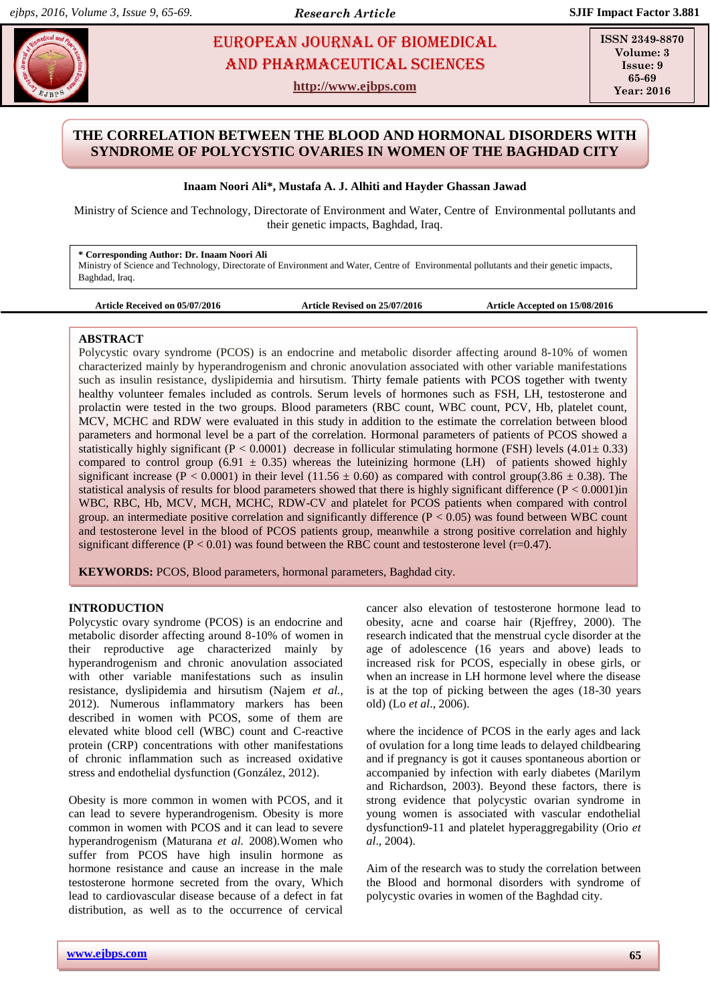# **INACCEMENT ARE ARRIVE ALL AND ARRIVE ALL SECOND EUROPEAN JOURNAL OF BIOMEDICAL AND SCIENCES** AND Pharmaceutical sciences

**http://www.ejbps.com**

**ISSN 2349-8870 Volume: 3 Issue: 9 65-69 Year: 2016**

# **THE CORRELATION BETWEEN THE BLOOD AND HORMONAL DISORDERS WITH SYNDROME OF POLYCYSTIC OVARIES IN WOMEN OF THE BAGHDAD CITY**

# **Inaam Noori Ali\*, Mustafa A. J. Alhiti and Hayder Ghassan Jawad**

Ministry of Science and Technology, Directorate of Environment and Water, Centre of Environmental pollutants and their genetic impacts, Baghdad, Iraq.

# **\* Corresponding Author: Dr. Inaam Noori Ali**

Ministry of Science and Technology, Directorate of Environment and Water, Centre of Environmental pollutants and their genetic impacts, Baghdad, Iraq.

**Article Received on 05/07/2016 Article Revised on 25/07/2016 Article Accepted on 15/08/2016**

# **ABSTRACT**

Polycystic ovary syndrome (PCOS) is an endocrine and metabolic disorder affecting around 8-10% of women characterized mainly by hyperandrogenism and chronic anovulation associated with other variable manifestations such as insulin resistance, dyslipidemia and hirsutism. Thirty female patients with PCOS together with twenty healthy volunteer females included as controls. Serum levels of hormones such as FSH, LH, testosterone and prolactin were tested in the two groups. Blood parameters (RBC count, WBC count, PCV, Hb, platelet count, MCV, MCHC and RDW were evaluated in this study in addition to the estimate the correlation between blood parameters and hormonal level be a part of the correlation. Hormonal parameters of patients of PCOS showed a statistically highly significant (P < 0.0001) decrease in follicular stimulating hormone (FSH) levels (4.01 $\pm$  0.33) compared to control group (6.91  $\pm$  0.35) whereas the luteinizing hormone (LH) of patients showed highly significant increase (P < 0.0001) in their level (11.56  $\pm$  0.60) as compared with control group(3.86  $\pm$  0.38). The statistical analysis of results for blood parameters showed that there is highly significant difference ( $P < 0.0001$ )in WBC, RBC, Hb, MCV, MCH, MCHC, RDW-CV and platelet for PCOS patients when compared with control group. an intermediate positive correlation and significantly difference  $(P < 0.05)$  was found between WBC count and testosterone level in the blood of PCOS patients group, meanwhile a strong positive correlation and highly significant difference ( $P < 0.01$ ) was found between the RBC count and testosterone level ( $r=0.47$ ).

**KEYWORDS:** PCOS, Blood parameters, hormonal parameters, Baghdad city.

# **INTRODUCTION**

Polycystic ovary syndrome (PCOS) is an endocrine and metabolic disorder affecting around 8-10% of women in their reproductive age characterized mainly by hyperandrogenism and chronic anovulation associated with other variable manifestations such as insulin resistance, dyslipidemia and hirsutism (Najem *et al.,* 2012). Numerous inflammatory markers has been described in women with PCOS, some of them are elevated white blood cell (WBC) count and C-reactive protein (CRP) concentrations with other manifestations of chronic inflammation such as increased oxidative stress and endothelial dysfunction (González, 2012).

Obesity is more common in women with PCOS, and it can lead to severe hyperandrogenism. Obesity is more common in women with PCOS and it can lead to severe hyperandrogenism (Maturana *et al.* 2008).Women who suffer from PCOS have high insulin hormone as hormone resistance and cause an increase in the male testosterone hormone secreted from the ovary, Which lead to cardiovascular disease because of a defect in fat distribution, as well as to the occurrence of cervical

cancer also elevation of testosterone hormone lead to obesity, acne and coarse hair (Rjeffrey, 2000). The research indicated that the menstrual cycle disorder at the age of adolescence (16 years and above) leads to increased risk for PCOS, especially in obese girls, or when an increase in LH hormone level where the disease is at the top of picking between the ages (18-30 years old) (Lo *et al*., 2006).

where the incidence of PCOS in the early ages and lack of ovulation for a long time leads to delayed childbearing and if pregnancy is got it causes spontaneous abortion or accompanied by infection with early diabetes (Marilym and Richardson, 2003). Beyond these factors, there is strong evidence that polycystic ovarian syndrome in young women is associated with vascular endothelial dysfunction9-11 and platelet hyperaggregability (Orio *et al*., 2004).

Aim of the research was to study the correlation between the Blood and hormonal disorders with syndrome of polycystic ovaries in women of the Baghdad city.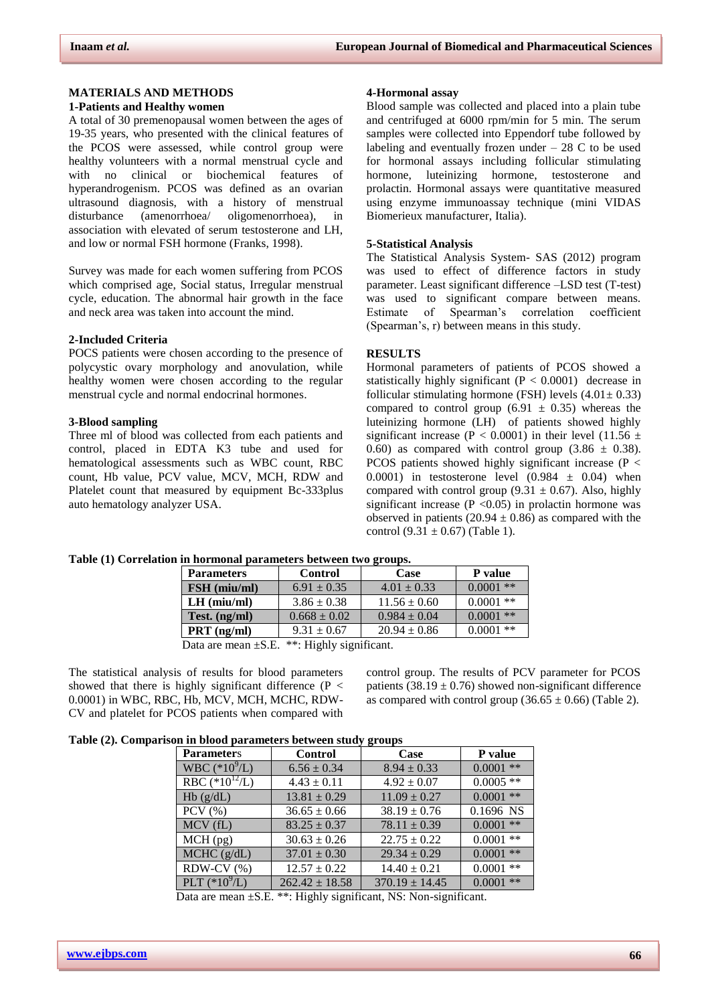# **MATERIALS AND METHODS**

#### **1-Patients and Healthy women**

A total of 30 premenopausal women between the ages of 19-35 years, who presented with the clinical features of the PCOS were assessed, while control group were healthy volunteers with a normal menstrual cycle and with no clinical or biochemical features of hyperandrogenism. PCOS was defined as an ovarian ultrasound diagnosis, with a history of menstrual disturbance (amenorrhoea/ oligomenorrhoea), in association with elevated of serum testosterone and LH, and low or normal FSH hormone (Franks, 1998).

Survey was made for each women suffering from PCOS which comprised age, Social status, Irregular menstrual cycle, education. The abnormal hair growth in the face and neck area was taken into account the mind.

## **2-Included Criteria**

POCS patients were chosen according to the presence of polycystic ovary morphology and anovulation, while healthy women were chosen according to the regular menstrual cycle and normal endocrinal hormones.

## **3-Blood sampling**

Three ml of blood was collected from each patients and control, placed in EDTA K3 tube and used for hematological assessments such as WBC count, RBC count, Hb value, PCV value, MCV, MCH, RDW and Platelet count that measured by equipment Bc-333plus auto hematology analyzer USA.

### **4-Hormonal assay**

Blood sample was collected and placed into a plain tube and centrifuged at 6000 rpm/min for 5 min. The serum samples were collected into Eppendorf tube followed by labeling and eventually frozen under  $-28$  C to be used for hormonal assays including follicular stimulating hormone, luteinizing hormone, testosterone and prolactin. Hormonal assays were quantitative measured using enzyme immunoassay technique (mini VIDAS Biomerieux manufacturer, Italia).

#### **5-Statistical Analysis**

The Statistical Analysis System- SAS (2012) program was used to effect of difference factors in study parameter. Least significant difference –LSD test (T-test) was used to significant compare between means. Estimate of Spearman's correlation coefficient (Spearman's, r) between means in this study.

#### **RESULTS**

Hormonal parameters of patients of PCOS showed a statistically highly significant  $(P < 0.0001)$  decrease in follicular stimulating hormone (FSH) levels  $(4.01 \pm 0.33)$ compared to control group  $(6.91 \pm 0.35)$  whereas the luteinizing hormone (LH) of patients showed highly significant increase (P < 0.0001) in their level (11.56  $\pm$ 0.60) as compared with control group  $(3.86 \pm 0.38)$ . PCOS patients showed highly significant increase (P < 0.0001) in testosterone level  $(0.984 \pm 0.04)$  when compared with control group (9.31  $\pm$  0.67). Also, highly significant increase ( $P \le 0.05$ ) in prolactin hormone was observed in patients (20.94  $\pm$  0.86) as compared with the control  $(9.31 \pm 0.67)$  (Table 1).

### **Table (1) Correlation in hormonal parameters between two groups.**

| <b>Parameters</b>                                                    | <b>Control</b>  | Case             | P value     |  |
|----------------------------------------------------------------------|-----------------|------------------|-------------|--|
| FSH (miu/ml)                                                         | $6.91 \pm 0.35$ | $4.01 \pm 0.33$  | $0.0001$ ** |  |
| $LH$ (miu/ml)                                                        | $3.86 \pm 0.38$ | $11.56 \pm 0.60$ | $0.0001$ ** |  |
| $0.0001$ **<br>$0.984 \pm 0.04$<br>$0.668 \pm 0.02$<br>Test. (ng/ml) |                 |                  |             |  |
| $PRT$ (ng/ml)                                                        | $9.31 \pm 0.67$ | $20.94 \pm 0.86$ | $0.0001$ ** |  |
| Data are mean $\pm$ S.E. **: Highly significant.                     |                 |                  |             |  |

The statistical analysis of results for blood parameters showed that there is highly significant difference ( $P <$ 0.0001) in WBC, RBC, Hb, MCV, MCH, MCHC, RDW-CV and platelet for PCOS patients when compared with

control group. The results of PCV parameter for PCOS patients  $(38.19 \pm 0.76)$  showed non-significant difference as compared with control group  $(36.65 \pm 0.66)$  (Table 2).

| Table (2). Comparison in blood parameters between study groups |
|----------------------------------------------------------------|
|----------------------------------------------------------------|

| <b>Parameters</b>  | <b>Control</b>     | Case               | P value     |
|--------------------|--------------------|--------------------|-------------|
| WBC $(*10^{9}/L)$  | $6.56 \pm 0.34$    | $8.94 \pm 0.33$    | $0.0001$ ** |
| RBC $(*10^{12}/L)$ | $4.43 \pm 0.11$    | $4.92 \pm 0.07$    | $0.0005$ ** |
| Hb(g/dL)           | $13.81 \pm 0.29$   | $11.09 \pm 0.27$   | $0.0001$ ** |
| $PCV$ $(\% )$      | $36.65 \pm 0.66$   | $38.19 \pm 0.76$   | 0.1696 NS   |
| MCV(fL)            | $83.25 \pm 0.37$   | $78.11 \pm 0.39$   | $0.0001$ ** |
| $MCH$ (pg)         | $30.63 \pm 0.26$   | $22.75 \pm 0.22$   | $0.0001$ ** |
| MCHC (g/dL)        | $37.01 \pm 0.30$   | $29.34 \pm 0.29$   | $0.0001$ ** |
| RDW-CV $(\%)$      | $12.57 \pm 0.22$   | $14.40 \pm 0.21$   | $0.0001$ ** |
| PLT $(*10^{9}/L)$  | $262.42 \pm 18.58$ | $370.19 \pm 14.45$ | $0.0001$ ** |

Data are mean  $\pm$ S.E. \*\*: Highly significant, NS: Non-significant.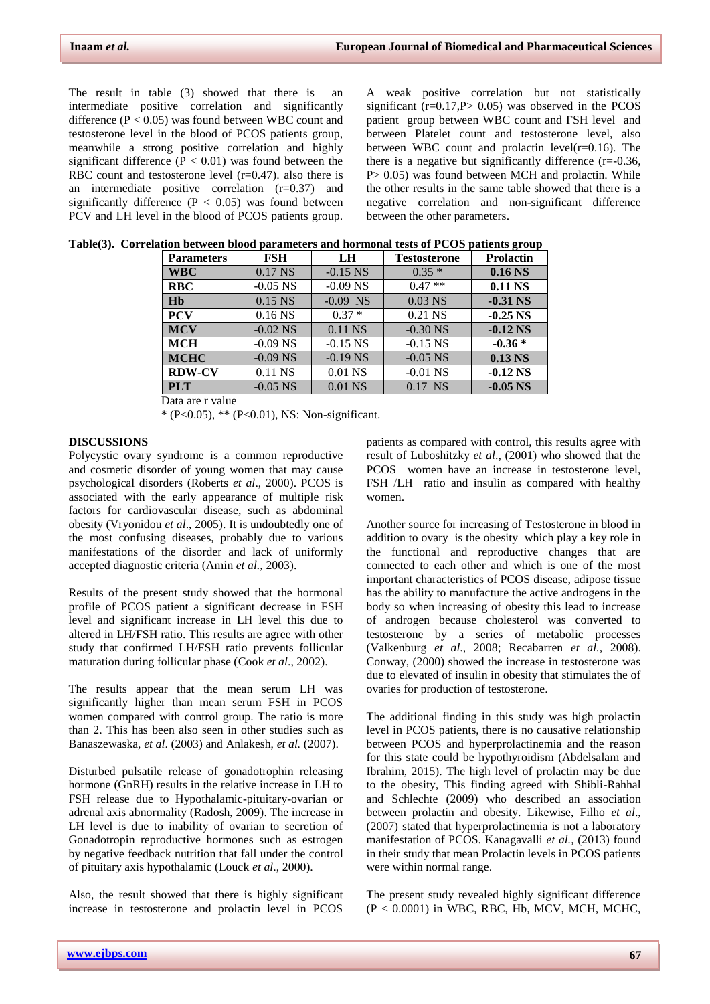The result in table (3) showed that there is an intermediate positive correlation and significantly difference  $(P < 0.05)$  was found between WBC count and testosterone level in the blood of PCOS patients group, meanwhile a strong positive correlation and highly significant difference ( $P < 0.01$ ) was found between the RBC count and testosterone level  $(r=0.47)$ . also there is an intermediate positive correlation (r=0.37) and significantly difference  $(P < 0.05)$  was found between PCV and LH level in the blood of PCOS patients group.

A weak positive correlation but not statistically significant  $(r=0.17, P> 0.05)$  was observed in the PCOS patient group between WBC count and FSH level and between Platelet count and testosterone level, also between WBC count and prolactin level( $r=0.16$ ). The there is a negative but significantly difference (r=-0.36, P > 0.05) was found between MCH and prolactin. While the other results in the same table showed that there is a negative correlation and non-significant difference between the other parameters.

| <b>Parameters</b> | <b>FSH</b> | LH         | <b>Testosterone</b> | <b>Prolactin</b>   |
|-------------------|------------|------------|---------------------|--------------------|
| <b>WBC</b>        | 0.17 NS    | $-0.15$ NS | $0.35*$             | 0.16 <sub>NS</sub> |
| <b>RBC</b>        | $-0.05$ NS | $-0.09$ NS | $0.47**$            | 0.11 NS            |
| Hb                | 0.15 NS    | $-0.09$ NS | $0.03$ NS           | $-0.31$ NS         |
| <b>PCV</b>        | $0.16$ NS  | $0.37*$    | $0.21$ NS           | $-0.25$ NS         |
| <b>MCV</b>        | $-0.02$ NS | $0.11$ NS  | $-0.30$ NS          | $-0.12$ NS         |
| <b>MCH</b>        | $-0.09$ NS | $-0.15$ NS | $-0.15$ NS          | $-0.36*$           |
| <b>MCHC</b>       | $-0.09$ NS | $-0.19$ NS | $-0.05$ NS          | $0.13$ NS          |
| <b>RDW-CV</b>     | $0.11$ NS  | $0.01$ NS  | $-0.01$ NS          | $-0.12$ NS         |
| <b>PLT</b>        | $-0.05$ NS | 0.01 NS    | $0.17$ NS           | $-0.05$ NS         |

|  | Table(3). Correlation between blood parameters and hormonal tests of PCOS patients group |  |  |
|--|------------------------------------------------------------------------------------------|--|--|
|  |                                                                                          |  |  |

Data are r value

\* (P<0.05), \*\* (P<0.01), NS: Non-significant.

## **DISCUSSIONS**

Polycystic ovary syndrome is a common reproductive and cosmetic disorder of young women that may cause psychological disorders (Roberts *et al*., 2000). PCOS is associated with the early appearance of multiple risk factors for cardiovascular disease, such as abdominal obesity (Vryonidou *et al*., 2005). It is undoubtedly one of the most confusing diseases, probably due to various manifestations of the disorder and lack of uniformly accepted diagnostic criteria (Amin *et al.,* 2003).

Results of the present study showed that the hormonal profile of PCOS patient a significant decrease in FSH level and significant increase in LH level this due to altered in LH/FSH ratio. This results are agree with other study that confirmed LH/FSH ratio prevents follicular maturation during follicular phase (Cook *et al*., 2002).

The results appear that the mean serum LH was significantly higher than mean serum FSH in PCOS women compared with control group. The ratio is more than 2. This has been also seen in other studies such as Banaszewaska, *et al*. (2003) and Anlakesh, *et al.* (2007).

Disturbed pulsatile release of gonadotrophin releasing hormone (GnRH) results in the relative increase in LH to FSH release due to Hypothalamic-pituitary-ovarian or adrenal axis abnormality (Radosh, 2009). The increase in LH level is due to inability of ovarian to secretion of Gonadotropin reproductive hormones such as estrogen by negative feedback nutrition that fall under the control of pituitary axis hypothalamic (Louck *et al*., 2000).

Also, the result showed that there is highly significant increase in testosterone and prolactin level in PCOS

patients as compared with control, this results agree with result of Luboshitzky *et al*., (2001) who showed that the PCOS women have an increase in testosterone level, FSH /LH ratio and insulin as compared with healthy women.

Another source for increasing of Testosterone in blood in addition to ovary is the obesity which play a key role in the functional and reproductive changes that are connected to each other and which is one of the most important characteristics of PCOS disease, adipose tissue has the ability to manufacture the active androgens in the body so when increasing of obesity this lead to increase of androgen because cholesterol was converted to testosterone by a series of metabolic processes (Valkenburg *et al*., 2008; Recabarren *et al.,* 2008). Conway, (2000) showed the increase in testosterone was due to elevated of insulin in obesity that stimulates the of ovaries for production of testosterone.

The additional finding in this study was high prolactin level in PCOS patients, there is no causative relationship between PCOS and hyperprolactinemia and the reason for this state could be hypothyroidism (Abdelsalam and Ibrahim, 2015). The high level of prolactin may be due to the obesity, This finding agreed with Shibli-Rahhal and Schlechte (2009) who described an association between prolactin and obesity. Likewise, Filho *et al*., (2007) stated that hyperprolactinemia is not a laboratory manifestation of PCOS. Kanagavalli *et al.,* (2013) found in their study that mean Prolactin levels in PCOS patients were within normal range.

The present study revealed highly significant difference (P < 0.0001) in WBC, RBC, Hb, MCV, MCH, MCHC,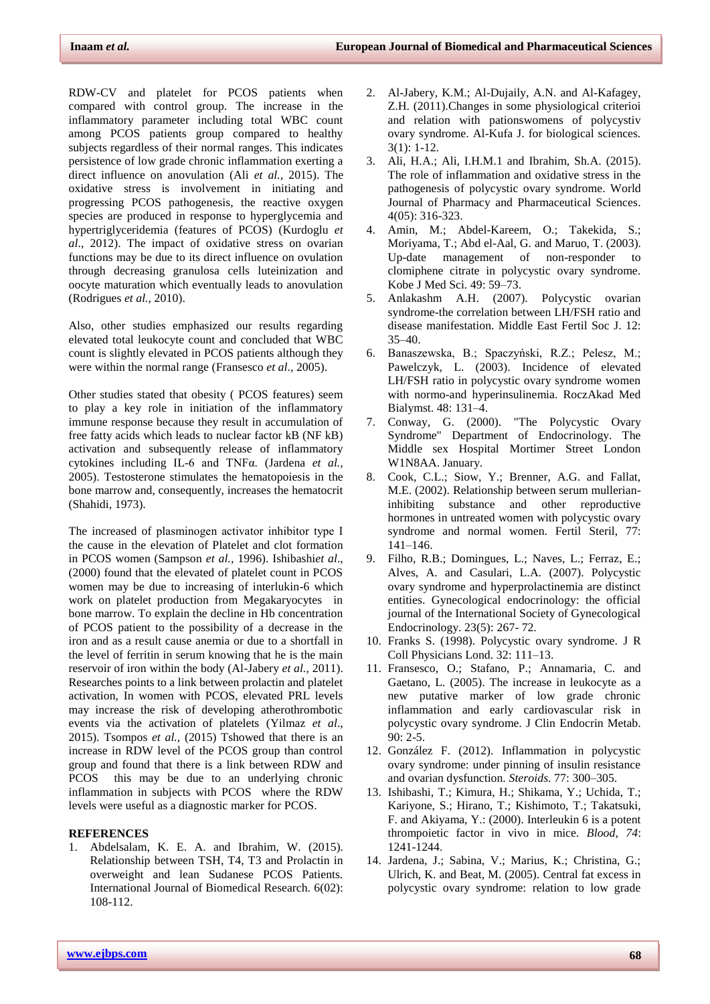RDW-CV and platelet for PCOS patients when compared with control group. The increase in the inflammatory parameter including total WBC count among PCOS patients group compared to healthy subjects regardless of their normal ranges. This indicates persistence of low grade chronic inflammation exerting a direct influence on anovulation (Ali *et al.,* 2015). The oxidative stress is involvement in initiating and progressing PCOS pathogenesis, the reactive oxygen species are produced in response to hyperglycemia and hypertriglyceridemia (features of PCOS) (Kurdoglu *et al*., 2012). The impact of oxidative stress on ovarian functions may be due to its direct influence on ovulation through decreasing granulosa cells luteinization and oocyte maturation which eventually leads to anovulation (Rodrigues *et al.,* 2010).

Also, other studies emphasized our results regarding elevated total leukocyte count and concluded that WBC count is slightly elevated in PCOS patients although they were within the normal range (Fransesco *et al*., 2005).

Other studies stated that obesity ( PCOS features) seem to play a key role in initiation of the inflammatory immune response because they result in accumulation of free fatty acids which leads to nuclear factor kB (NF kB) activation and subsequently release of inflammatory cytokines including IL-6 and TNFα. (Jardena *et al.,* 2005). Testosterone stimulates the hematopoiesis in the bone marrow and, consequently, increases the hematocrit (Shahidi, 1973).

The increased of plasminogen activator inhibitor type І the cause in the elevation of Platelet and clot formation in PCOS women (Sampson *et al.,* 1996). Ishibashi*et al*., (2000) found that the elevated of platelet count in PCOS women may be due to increasing of interlukin-6 which work on platelet production from Megakaryocytes in bone marrow. To explain the decline in Hb concentration of PCOS patient to the possibility of a decrease in the iron and as a result cause anemia or due to a shortfall in the level of ferritin in serum knowing that he is the main reservoir of iron within the body (Al-Jabery *et al.,* 2011). Researches points to a link between prolactin and platelet activation, In women with PCOS, elevated PRL levels may increase the risk of developing atherothrombotic events via the activation of platelets (Yilmaz *et al*., 2015). Tsompos *et al.,* (2015) Tshowed that there is an increase in RDW level of the PCOS group than control group and found that there is a link between RDW and PCOS this may be due to an underlying chronic inflammation in subjects with PCOS where the RDW levels were useful as a diagnostic marker for PCOS.

## **REFERENCES**

1. Abdelsalam, K. E. A. and Ibrahim, W. (2015). Relationship between TSH, T4, T3 and Prolactin in overweight and lean Sudanese PCOS Patients. International Journal of Biomedical Research. 6(02): 108-112.

- 2. Al-Jabery, K.M.; Al-Dujaily, A.N. and Al-Kafagey, Z.H. (2011).Changes in some physiological criterioi and relation with pationswomens of polycystiv ovary syndrome. Al-Kufa J. for biological sciences. 3(1): 1-12.
- 3. Ali, H.A.; Ali, I.H.M.1 and Ibrahim, Sh.A. (2015). The role of inflammation and oxidative stress in the pathogenesis of polycystic ovary syndrome. World Journal of Pharmacy and Pharmaceutical Sciences. 4(05): 316-323.
- 4. Amin, M.; Abdel-Kareem, O.; Takekida, S.; Moriyama, T.; Abd el-Aal, G. and Maruo, T. (2003). Up-date management of non-responder to clomiphene citrate in polycystic ovary syndrome. Kobe J Med Sci. 49: 59–73.
- 5. Anlakashm A.H. (2007). Polycystic ovarian syndrome-the correlation between LH/FSH ratio and disease manifestation. Middle East Fertil Soc J. 12:  $35 - 40$
- 6. Banaszewska, B.; Spaczyński, R.Z.; Pelesz, M.; Pawelczyk, L. (2003). Incidence of elevated LH/FSH ratio in polycystic ovary syndrome women with normo-and hyperinsulinemia. RoczAkad Med Bialymst. 48: 131–4.
- 7. Conway, G. (2000). "The Polycystic Ovary Syndrome" Department of Endocrinology. The Middle sex Hospital Mortimer Street London W1N8AA. January.
- 8. Cook, C.L.; Siow, Y.; Brenner, A.G. and Fallat, M.E. (2002). Relationship between serum mullerianinhibiting substance and other reproductive hormones in untreated women with polycystic ovary syndrome and normal women. Fertil Steril, 77: 141–146.
- 9. Filho, R.B.; Domingues, L.; Naves, L.; Ferraz, E.; Alves, A. and Casulari, L.A. (2007). Polycystic ovary syndrome and hyperprolactinemia are distinct entities. Gynecological endocrinology: the official journal of the International Society of Gynecological Endocrinology. 23(5): 267- 72.
- 10. Franks S. (1998). Polycystic ovary syndrome. J R Coll Physicians Lond. 32: 111–13.
- 11. Fransesco, O.; Stafano, P.; Annamaria, C. and Gaetano, L. (2005). The increase in leukocyte as a new putative marker of low grade chronic inflammation and early cardiovascular risk in polycystic ovary syndrome. J Clin Endocrin Metab. 90: 2-5.
- 12. González F. (2012). Inflammation in polycystic ovary syndrome: under pinning of insulin resistance and ovarian dysfunction. *Steroids*. 77: 300–305.
- 13. Ishibashi, T.; Kimura, H.; Shikama, Y.; Uchida, T.; Kariyone, S.; Hirano, T.; Kishimoto, T.; Takatsuki, F. and Akiyama, Y.: (2000). Interleukin 6 is a potent thrompoietic factor in vivo in mice. *Blood*, *74*: 1241-1244.
- 14. Jardena, J.; Sabina, V.; Marius, K.; Christina, G.; Ulrich, K. and Beat, M. (2005). Central fat excess in polycystic ovary syndrome: relation to low grade